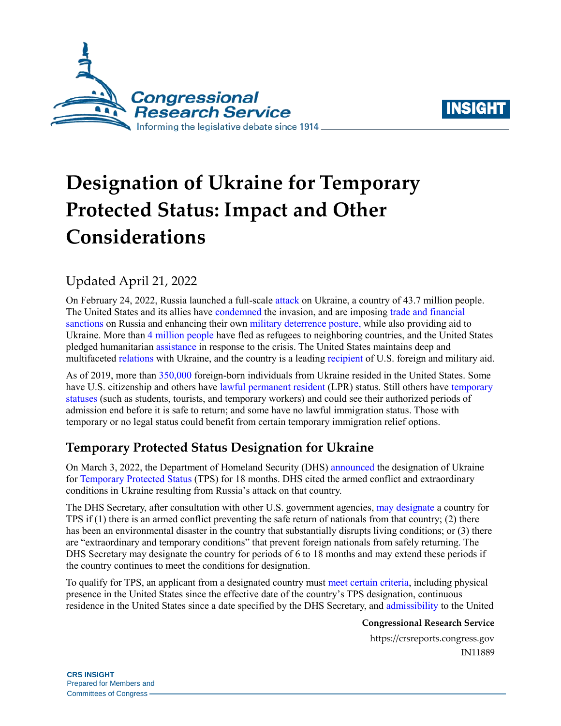



# **Designation of Ukraine for Temporary Protected Status: Impact and Other Considerations**

## Updated April 21, 2022

On February 24, 2022, Russia launched a full-scale [attack](https://crsreports.congress.gov/product/pdf/IN/IN11872) on Ukraine, a country of 43.7 million people. The United States and its allies have [condemned](https://crsreports.congress.gov/product/pdf/IN/IN11869) the invasion, and are imposing [trade and financial](https://crsreports.congress.gov/product/pdf/IN/IN11871/)  [sanctions](https://crsreports.congress.gov/product/pdf/IN/IN11871/) on Russia and enhancing their ow[n military deterrence](https://crsreports.congress.gov/product/pdf/IN/IN11866) posture, while also providing aid to Ukraine. More than 4 [million people](https://data2.unhcr.org/en/situations/ukraine) have fled as refugees to neighboring countries, and the United States pledged humanitarian [assistance](https://www.whitehouse.gov/briefing-room/statements-releases/2022/03/10/vice-president-kamala-harris-announces-additional-u-s-funding-to-respond-to-humanitarian-needs-in-ukraine-and-eastern-europe/) in response to the crisis. The United States maintains deep and multifacete[d relations](https://crsreports.congress.gov/product/pdf/R/R45008) with Ukraine, and the country is a leading [recipient](https://crsreports.congress.gov/product/pdf/R/R45008) of U.S. foreign and military aid.

As of 2019, more than [350,000](https://data.census.gov/cedsci/table?q=b05006) foreign-born individuals from Ukraine resided in the United States. Some have U.S. citizenship and others have [lawful permanent resident](https://www.dhs.gov/immigration-statistics/lawful-permanent-residents) (LPR) status. Still others have [temporary](https://crsreports.congress.gov/product/pdf/R/R45040)  [statuses](https://crsreports.congress.gov/product/pdf/R/R45040) (such as students, tourists, and temporary workers) and could see their authorized periods of admission end before it is safe to return; and some have no lawful immigration status. Those with temporary or no legal status could benefit from certain temporary immigration relief options.

# **Temporary Protected Status Designation for Ukraine**

On March 3, 2022, the Department of Homeland Security (DHS) [announced](https://www.dhs.gov/news/2022/03/03/secretary-mayorkas-designates-ukraine-temporary-protected-status-18-months) the designation of Ukraine for [Temporary Protected Status](https://crsreports.congress.gov/product/pdf/RS/RS20844) (TPS) for 18 months. DHS cited the armed conflict and extraordinary conditions in Ukraine resulting from Russia's attack on that country.

The DHS Secretary, after consultation with other U.S. government agencies, [may designate](https://uscode.house.gov/view.xhtml?req=(title:8%20section:1254a%20edition:prelim)) a country for TPS if (1) there is an armed conflict preventing the safe return of nationals from that country; (2) there has been an environmental disaster in the country that substantially disrupts living conditions; or (3) there are "extraordinary and temporary conditions" that prevent foreign nationals from safely returning. The DHS Secretary may designate the country for periods of 6 to 18 months and may extend these periods if the country continues to meet the conditions for designation.

To qualify for TPS, an applicant from a designated country must [meet certain criteria,](https://uscode.house.gov/view.xhtml?req=(title:8%20section:1254a%20edition:prelim)) including physical presence in the United States since the effective date of the country's TPS designation, continuous residence in the United States since a date specified by the DHS Secretary, and [admissibility](https://uscode.house.gov/view.xhtml?req=(title:8%20section:1182) to the United

#### **Congressional Research Service**

https://crsreports.congress.gov IN11889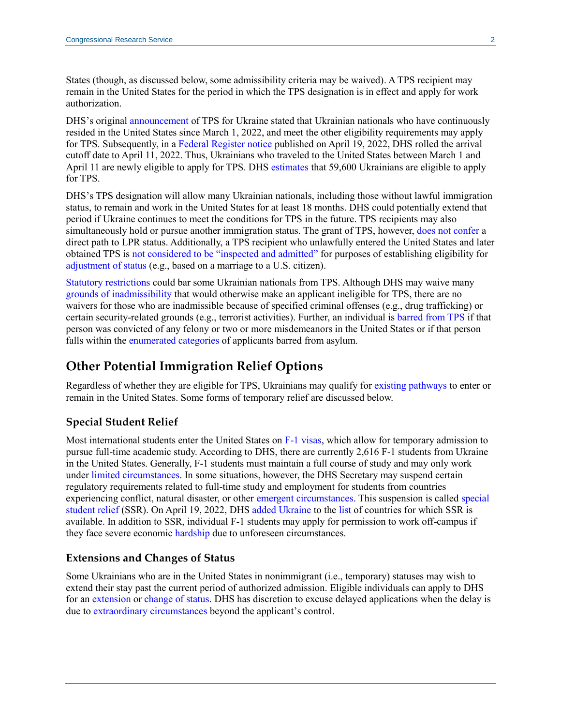States (though, as discussed below, some admissibility criteria may be waived). A TPS recipient may remain in the United States for the period in which the TPS designation is in effect and apply for work authorization.

DHS's origina[l announcement](https://www.dhs.gov/news/2022/03/03/secretary-mayorkas-designates-ukraine-temporary-protected-status-18-months) of TPS for Ukraine stated that Ukrainian nationals who have continuously resided in the United States since March 1, 2022, and meet the other eligibility requirements may apply for TPS. Subsequently, in a [Federal Register notice](https://www.federalregister.gov/documents/2022/04/19/2022-08390/designation-of-ukraine-for-temporary-protected-status) published on April 19, 2022, DHS rolled the arrival cutoff date to April 11, 2022. Thus, Ukrainians who traveled to the United States between March 1 and April 11 are newly eligible to apply for TPS. DHS [estimates](https://www.federalregister.gov/documents/2022/04/19/2022-08390/designation-of-ukraine-for-temporary-protected-status) that 59,600 Ukrainians are eligible to apply for TPS.

DHS's TPS designation will allow many Ukrainian nationals, including those without lawful immigration status, to remain and work in the United States for at least 18 months. DHS could potentially extend that period if Ukraine continues to meet the conditions for TPS in the future. TPS recipients may also simultaneously hold or pursue another immigration status. The grant of TPS, however, [does not confer](https://www.uscis.gov/humanitarian/temporary-protected-status) a direct path to LPR status. Additionally, a TPS recipient who unlawfully entered the United States and later obtained TPS is [not considered to be "inspected and admitted"](https://crsreports.congress.gov/product/pdf/LSB/LSB10607) for purposes of establishing eligibility for [adjustment of status](https://uscode.house.gov/view.xhtml?req=granuleid:USC-prelim-title8-section1255&num=0&edition=prelim) (e.g., based on a marriage to a U.S. citizen).

Statutory [restrictions](https://uscode.house.gov/view.xhtml?req=(title:8%20section:1254a%20edition:prelim)) could bar some Ukrainian nationals from TPS. Although DHS may waive many [grounds of inadmissibility](https://uscode.house.gov/view.xhtml?req=(title:8%20section:1182) that would otherwise make an applicant ineligible for TPS, there are no waivers for those who are inadmissible because of specified criminal offenses (e.g., drug trafficking) or certain security-related grounds (e.g., terrorist activities). Further, an individual is [barred from](https://uscode.house.gov/view.xhtml?req=(title:8%20section:1254a%20edition:prelim)) TPS if that person was convicted of any felony or two or more misdemeanors in the United States or if that person falls within th[e enumerated](https://uscode.house.gov/view.xhtml?req=granuleid:USC-prelim-title8-section1158&num=0&edition=prelim) categories of applicants barred from asylum.

### **Other Potential Immigration Relief Options**

Regardless of whether they are eligible for TPS, Ukrainians may qualify fo[r existing pathways](https://www.dhs.gov/news/2022/03/31/fact-sheet-dhs-efforts-assist-ukrainian-nationals) to enter or remain in the United States. Some forms of temporary relief are discussed below.

#### **Special Student Relief**

Most international students enter the United States on [F-1 visas,](https://travel.state.gov/content/travel/en/us-visas/study/student-visa.html) which allow for temporary admission to pursue full-time academic study. According to DHS, there are currently 2,616 F-1 students from Ukraine in the United States. Generally, F-1 students must maintain a full course of study and may only work under [limited circumstances.](https://www.uscis.gov/working-in-the-united-states/students-and-exchange-visitors/students-and-employment) In some situations, however, the DHS Secretary may suspend certain regulatory requirements related to full-time study and employment for students from countries experiencing conflict, natural disaster, or other [emergent circumstances.](https://studyinthestates.dhs.gov/2017/11/emergent-circumstances-versus-temporary-protected-status-what-difference) This suspension is called [special](https://studyinthestates.dhs.gov/students/special-student-relief)  [student relief](https://studyinthestates.dhs.gov/students/special-student-relief) (SSR). On April 19, 2022, DHS [added Ukraine](https://www.federalregister.gov/documents/2022/04/19/2022-08357/employment-authorization-for-ukrainian-f-1-nonimmigrant-students-experiencing-severe-economic) to the [list](https://www.ice.gov/sevis/whats-new) of countries for which SSR is available. In addition to SSR, individual F-1 students may apply for permission to work off-campus if they face severe economic [hardship](https://www.uscis.gov/humanitarian/special-situations) due to unforeseen circumstances.

#### **Extensions and Changes of Status**

Some Ukrainians who are in the United States in nonimmigrant (i.e., temporary) statuses may wish to extend their stay past the current period of authorized admission. Eligible individuals can apply to DHS for a[n extension](https://www.uscis.gov/visit-the-united-states/extend-your-stay) or [change of status.](https://www.uscis.gov/visit-the-united-states/change-my-nonimmigrant-status) DHS has discretion to excuse delayed applications when the delay is due to [extraordinary circumstances](https://www.uscis.gov/humanitarian/special-situations) beyond the applicant's control.